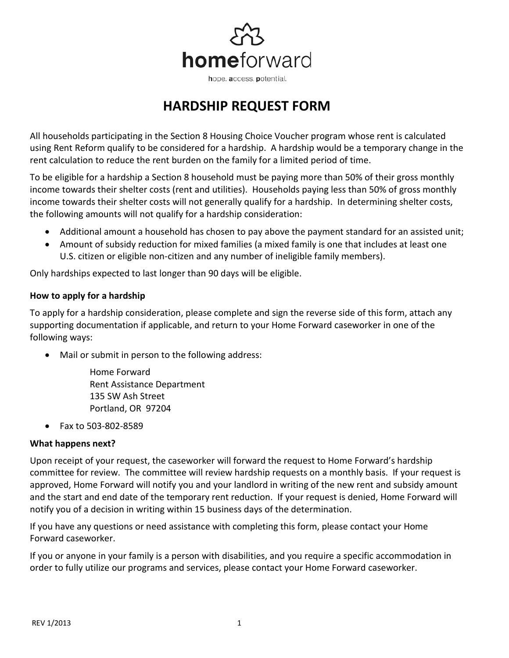

## **HARDSHIP REQUEST FORM**

All households participating in the Section 8 Housing Choice Voucher program whose rent is calculated using Rent Reform qualify to be considered for a hardship. A hardship would be a temporary change in the rent calculation to reduce the rent burden on the family for a limited period of time.

To be eligible for a hardship a Section 8 household must be paying more than 50% of their gross monthly income towards their shelter costs (rent and utilities). Households paying less than 50% of gross monthly income towards their shelter costs will not generally qualify for a hardship. In determining shelter costs, the following amounts will not qualify for a hardship consideration:

- Additional amount a household has chosen to pay above the payment standard for an assisted unit;
- Amount of subsidy reduction for mixed families (a mixed family is one that includes at least one U.S. citizen or eligible non-citizen and any number of ineligible family members).

Only hardships expected to last longer than 90 days will be eligible.

## **How to apply for a hardship**

To apply for a hardship consideration, please complete and sign the reverse side of this form, attach any supporting documentation if applicable, and return to your Home Forward caseworker in one of the following ways:

Mail or submit in person to the following address:

Home Forward Rent Assistance Department 135 SW Ash Street Portland, OR 97204

• Fax to 503-802-8589

## **What happens next?**

Upon receipt of your request, the caseworker will forward the request to Home Forward's hardship committee for review. The committee will review hardship requests on a monthly basis. If your request is approved, Home Forward will notify you and your landlord in writing of the new rent and subsidy amount and the start and end date of the temporary rent reduction. If your request is denied, Home Forward will notify you of a decision in writing within 15 business days of the determination.

If you have any questions or need assistance with completing this form, please contact your Home Forward caseworker.

If you or anyone in your family is a person with disabilities, and you require a specific accommodation in order to fully utilize our programs and services, please contact your Home Forward caseworker.